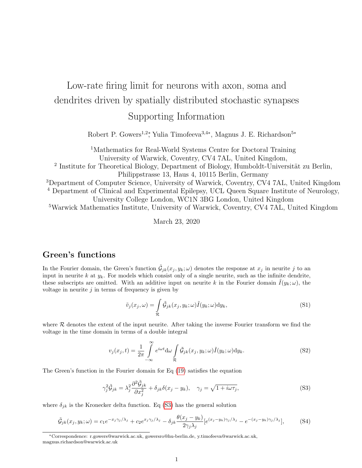# <span id="page-0-3"></span>Low-rate firing limit for neurons with axon, soma and dendrites driven by spatially distributed stochastic synapses

## Supporting Information

Robert P. Gowers<sup>1,2</sup><sup>\*</sup>, Yulia Timofeeva<sup>3,4∗</sup>, Magnus J. E. Richardson<sup>5∗</sup>

<sup>1</sup>Mathematics for Real-World Systems Centre for Doctoral Training University of Warwick, Coventry, CV4 7AL, United Kingdom,

<sup>2</sup> Institute for Theoretical Biology, Department of Biology, Humboldt-Universität zu Berlin, Philippstrasse 13, Haus 4, 10115 Berlin, Germany

<sup>3</sup>Department of Computer Science, University of Warwick, Coventry, CV4 7AL, United Kingdom

<sup>4</sup> Department of Clinical and Experimental Epilepsy, UCL Queen Square Institute of Neurology,

University College London, WC1N 3BG London, United Kingdom

<sup>5</sup>Warwick Mathematics Institute, University of Warwick, Coventry, CV4 7AL, United Kingdom

March 23, 2020

## Green's functions

In the Fourier domain, the Green's function  $\tilde{G}_{jk}(x_j, y_k; \omega)$  denotes the response at  $x_j$  in neurite j to an input in neurite k at  $y_k$ . For models which consist only of a single neurite, such as the infinite dendrite, these subscripts are omitted. With an additive input on neurite k in the Fourier domain  $\tilde{I}(y_k; \omega)$ , the voltage in neurite  $j$  in terms of frequency is given by

<span id="page-0-2"></span>
$$
\tilde{v}_j(x_j,\omega) = \int\limits_{\mathcal{R}} \tilde{\mathcal{G}}_{jk}(x_j,y_k;\omega) \tilde{I}(y_k;\omega) \mathrm{d}y_k,\tag{S1}
$$

where  $R$  denotes the extent of the input neurite. After taking the inverse Fourier transform we find the voltage in the time domain in terms of a double integral

$$
v_j(x_j, t) = \frac{1}{2\pi} \int_{-\infty}^{\infty} e^{i\omega t} d\omega \int_{\mathcal{R}} \tilde{\mathcal{G}}_{jk}(x_j, y_k; \omega) \tilde{I}(y_k; \omega) dy_k.
$$
 (S2)

The Green's function in the Fourier domain for Eq [\(19\)](#page-2-0) satisfies the equation

<span id="page-0-1"></span><span id="page-0-0"></span>
$$
\gamma_j^2 \tilde{\mathcal{G}}_{jk} = \lambda_j^2 \frac{\partial^2 \tilde{\mathcal{G}}_{jk}}{\partial x_j^2} + \delta_{jk} \delta(x_j - y_k), \quad \gamma_j = \sqrt{1 + i\omega \tau_j},\tag{S3}
$$

where  $\delta_{jk}$  is the Kronecker delta function. Eq [\(S3\)](#page-0-0) has the general solution

$$
\tilde{\mathcal{G}}_{jk}(x_j, y_k; \omega) = c_1 e^{-x_j \gamma_j/\lambda_j} + c_2 e^{x_j \gamma_j/\lambda_j} - \delta_{jk} \frac{\theta(x_j - y_k)}{2\gamma_j \lambda_j} [e^{(x_j - y_k)\gamma_j/\lambda_j} - e^{-(x_j - y_k)\gamma_j/\lambda_j}], \tag{S4}
$$

<sup>∗</sup>Correspondence: r.gowers@warwick.ac.uk, gowersro@hu-berlin.de, y.timofeeva@warwick.ac.uk, magnus.richardson@warwick.ac.uk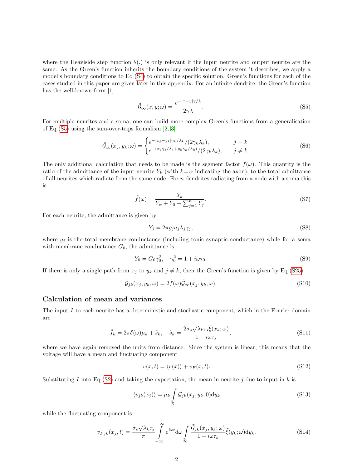where the Heaviside step function  $\theta(.)$  is only relevant if the input neurite and output neurite are the same. As the Green's function inherits the boundary conditions of the system it describes, we apply a model's boundary conditions to Eq [\(S4\)](#page-0-1) to obtain the specific solution. Green's functions for each of the cases studied in this paper are given later in this appendix. For an infinite dendrite, the Green's function has the well-known form [\[1\]](#page-6-0)

<span id="page-1-0"></span>
$$
\tilde{\mathcal{G}}_{\infty}(x, y; \omega) = \frac{e^{-|x - y|\gamma/\lambda}}{2\gamma \lambda}.
$$
\n(S5)

For multiple neurites and a soma, one can build more complex Green's functions from a generalisation of Eq [\(S5\)](#page-1-0) using the sum-over-trips formalism [\[2,](#page-7-0) [3\]](#page-7-1)

$$
\tilde{\mathcal{G}}_{\infty}(x_j, y_k; \omega) = \begin{cases} e^{-|x_j - y_k|\gamma_k/\lambda_k} / (2\gamma_k \lambda_k), & j = k \\ e^{-(x_j \gamma_j/\lambda_j + y_k \gamma_k/\lambda_k)} / (2\gamma_k \lambda_k), & j \neq k \end{cases} (S6)
$$

The only additional calculation that needs to be made is the segment factor  $f(\omega)$ . This quantity is the ratio of the admittance of the input neurite  $Y_k$  (with  $k=\alpha$  indicating the axon), to the total admittance of all neurites which radiate from the same node. For  $n$  dendrites radiating from a node with a soma this is

<span id="page-1-1"></span>
$$
\tilde{f}(\omega) = \frac{Y_k}{Y_\alpha + Y_0 + \sum_{j=1}^n Y_j}.\tag{S7}
$$

For each neurite, the admittance is given by

$$
Y_j = 2\pi g_j a_j \lambda_j \gamma_j,\tag{S8}
$$

where  $g_j$  is the total membrane conductance (including tonic synaptic conductance) while for a soma with membrane conductance  $G_0$ , the admittance is

$$
Y_0 = G_0 \gamma_0^2, \quad \gamma_0^2 = 1 + i\omega \tau_0.
$$
 (S9)

If there is only a single path from  $x_j$  to  $y_k$  and  $j \neq k$ , then the Green's function is given by Eq [\(S25\)](#page-3-0)

$$
\tilde{\mathcal{G}}_{jk}(x_j, y_k; \omega) = 2\tilde{f}(\omega)\tilde{\mathcal{G}}_{\infty}(x_j, y_k; \omega). \tag{S10}
$$

#### Calculation of mean and variances

The input I to each neurite has a deterministic and stochastic component, which in the Fourier domain are

$$
\tilde{I}_k = 2\pi \delta(\omega)\mu_k + \tilde{s}_k, \quad \tilde{s}_k = \frac{2\sigma_s \sqrt{\lambda_k \tau_s} \tilde{\xi}(x_k; \omega)}{1 + i\omega \tau_s},
$$
\n(S11)

where we have again removed the units from distance. Since the system is linear, this means that the voltage will have a mean and fluctuating component

$$
v(x,t) = \langle v(x) \rangle + v_F(x,t). \tag{S12}
$$

Substituting  $\tilde{I}$  into Eq [\(S2\)](#page-0-2) and taking the expectation, the mean in neurite  $j$  due to input in k is

$$
\langle v_{jk}(x_j) \rangle = \mu_k \int_{\mathcal{R}} \tilde{\mathcal{G}}_{jk}(x_j, y_k; 0) \mathrm{d}y_k \tag{S13}
$$

while the fluctuating component is

$$
v_{Fjk}(x_j, t) = \frac{\sigma_s \sqrt{\lambda_k \tau_s}}{\pi} \int\limits_{-\infty}^{\infty} e^{i\omega t} d\omega \int\limits_{\mathcal{R}} \frac{\tilde{\mathcal{G}}_{jk}(x_j, y_k; \omega)}{1 + i\omega \tau_s} \tilde{\xi}(y_k; \omega) dy_k.
$$
 (S14)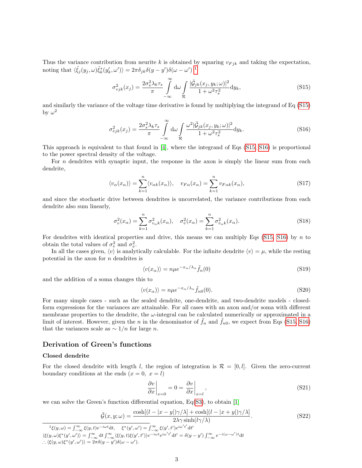Thus the variance contribution from neurite k is obtained by squaring  $v_{Fjk}$  and taking the expectation, noting that  $\langle \tilde{\xi}_j(y_j, \omega) \tilde{\xi}_k^*(y'_k, \omega') \rangle = 2\pi \delta_{jk} \delta(y - y') \delta(\omega - \omega')^{-1}$  $\langle \tilde{\xi}_j(y_j, \omega) \tilde{\xi}_k^*(y'_k, \omega') \rangle = 2\pi \delta_{jk} \delta(y - y') \delta(\omega - \omega')^{-1}$  $\langle \tilde{\xi}_j(y_j, \omega) \tilde{\xi}_k^*(y'_k, \omega') \rangle = 2\pi \delta_{jk} \delta(y - y') \delta(\omega - \omega')^{-1}$ 

<span id="page-2-2"></span>
$$
\sigma_{vjk}^2(x_j) = \frac{2\sigma_s^2 \lambda_k \tau_s}{\pi} \int\limits_{-\infty}^{\infty} d\omega \int\limits_{\mathcal{R}} \frac{|\tilde{G}_{jk}(x_j, y_k; \omega)|^2}{1 + \omega^2 \tau_s^2} dy_k,
$$
\n(S15)

and similarly the variance of the voltage time derivative is found by multiplying the integrand of Eq [\(S15\)](#page-2-2) by  $\omega^2$ 

<span id="page-2-3"></span>
$$
\sigma_{ijk}^2(x_j) = \frac{2\sigma_s^2 \lambda_k \tau_s}{\pi} \int\limits_{-\infty}^{\infty} d\omega \int\limits_{\mathcal{R}} \frac{\omega^2 |\tilde{G}_{jk}(x_j, y_k; \omega)|^2}{1 + \omega^2 \tau_s^2} dy_k.
$$
 (S16)

This approach is equivalent to that found in [\[4\]](#page-7-2), where the integrand of Eqs [\(S15,](#page-2-2) [S16\)](#page-2-3) is proportional to the power spectral density of the voltage.

For  $n$  dendrites with synaptic input, the response in the axon is simply the linear sum from each dendrite,

$$
\langle v_{\alpha}(x_{\alpha})\rangle = \sum_{k=1}^{n} \langle v_{\alpha k}(x_{\alpha})\rangle, \quad v_{F\alpha}(x_{\alpha}) = \sum_{k=1}^{n} v_{F\alpha k}(x_{\alpha}), \tag{S17}
$$

and since the stochastic drive between dendrites is uncorrelated, the variance contributions from each dendrite also sum linearly,

$$
\sigma_v^2(x_\alpha) = \sum_{k=1}^n \sigma_{v_\alpha k}^2(x_\alpha), \quad \sigma_v^2(x_\alpha) = \sum_{k=1}^n \sigma_{v_\alpha k}^2(x_\alpha). \tag{S18}
$$

For dendrites with identical properties and drive, this means we can multiply Eqs [\(S15,](#page-2-2) [S16\)](#page-2-3) by  $n$  to obtain the total values of  $\sigma_v^2$  and  $\sigma_v^2$ .

In all the cases given,  $\langle v \rangle$  is analytically calculable. For the infinite dendrite  $\langle v \rangle = \mu$ , while the resting potential in the axon for n dendrites is

<span id="page-2-0"></span>
$$
\langle v(x_{\alpha})\rangle = n\mu e^{-x_{\alpha}/\lambda_{\alpha}}\tilde{f}_n(0)
$$
\n(S19)

and the addition of a soma changes this to

$$
\langle v(x_{\alpha})\rangle = n\mu e^{-x_{\alpha}/\lambda_{\alpha}}\tilde{f}_{n0}(0). \tag{S20}
$$

For many simple cases - such as the sealed dendrite, one-dendrite, and two-dendrite models - closedform expressions for the variances are attainable. For all cases with an axon and/or soma with different membrane properties to the dendrite, the  $\omega$ -integral can be calculated numerically or approximated in a limit of interest. However, given the n in the denominator of  $\tilde{f}_n$  and  $\tilde{f}_{n0}$ , we expect from Eqs [\(S15,](#page-2-2) [S16\)](#page-2-3) that the variances scale as  $\sim 1/n$  for large *n*.

#### Derivation of Green's functions

#### Closed dendrite

For the closed dendrite with length l, the region of integration is  $\mathcal{R} = [0, l]$ . Given the zero-current boundary conditions at the ends  $(x = 0, x = l)$ 

$$
\left. \frac{\partial v}{\partial x} \right|_{x=0} = 0 = \left. \frac{\partial v}{\partial x} \right|_{x=l},\tag{S21}
$$

we can solve the Green's function differential equation,  $Eq(S3)$  $Eq(S3)$ , to obtain [\[1\]](#page-6-0)

$$
\tilde{\mathcal{G}}(x, y; \omega) = \frac{\cosh[(l - |x - y|)\gamma/\lambda] + \cosh[(l - |x + y|)\gamma/\lambda]}{2\lambda\gamma \sinh(l\gamma/\lambda)}.
$$
\n(S22)

<span id="page-2-1"></span> ${}^{1}\xi(y,\omega) = \int_{-\infty}^{\infty} \xi(y,t)e^{-i\omega t}dt, \quad \xi^{*}(y',\omega') = \int_{-\infty}^{\infty} \xi(y',t')e^{i\omega' t'}dt'$ 

 $\langle \xi(y,\omega)\xi^*(y',\omega')\rangle = \int_{-\infty}^{\infty} \mathrm{d}t \int_{-\infty}^{\infty} \langle \xi(y,t)\xi(y',t')\rangle e^{-i\omega t} e^{i\omega' t'} \mathrm{d}t' = \delta(y-y') \int_{-\infty}^{\infty} e^{-i(\omega-\omega')t} \mathrm{d}t$  $\therefore \langle \xi(y,\omega)\xi^*(y',\omega')\rangle = 2\pi\delta(y-y')\delta(\omega-\omega').$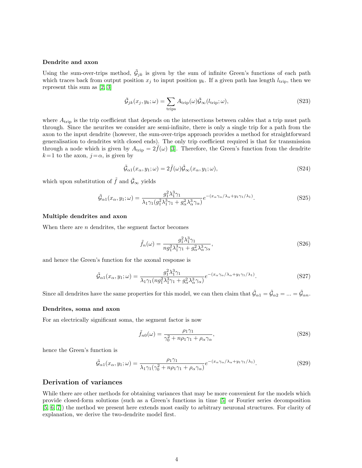#### Dendrite and axon

Using the sum-over-trips method,  $\tilde{G}_{jk}$  is given by the sum of infinite Green's functions of each path which traces back from output position  $x_j$  to input position  $y_k$ . If a given path has length  $l_{\text{trip}}$ , then we represent this sum as [\[2,](#page-7-0) [3\]](#page-7-1)

$$
\tilde{\mathcal{G}}_{jk}(x_j, y_k; \omega) = \sum_{\text{trips}} A_{\text{trip}}(\omega) \tilde{\mathcal{G}}_{\infty}(l_{\text{trip}}; \omega), \qquad (S23)
$$

where  $A_{\text{trip}}$  is the trip coefficient that depends on the intersections between cables that a trip must path through. Since the neurites we consider are semi-infinite, there is only a single trip for a path from the axon to the input dendrite (however, the sum-over-trips approach provides a method for straightforward generalisation to dendrites with closed ends). The only trip coefficient required is that for transmission through a node which is given by  $A_{\text{trip}} = 2f(\omega)$  [\[3\]](#page-7-1). Therefore, the Green's function from the dendrite  $k=1$  to the axon,  $j=\alpha$ , is given by

$$
\tilde{\mathcal{G}}_{\alpha 1}(x_{\alpha}, y_1; \omega) = 2\tilde{f}(\omega)\tilde{\mathcal{G}}_{\infty}(x_{\alpha}, y_1; \omega), \qquad (S24)
$$

which upon substitution of  $\tilde{f}$  and  $\tilde{G}_{\infty}$  yields

$$
\tilde{\mathcal{G}}_{\alpha 1}(x_{\alpha}, y_1; \omega) = \frac{g_1^2 \lambda_1^3 \gamma_1}{\lambda_1 \gamma_1 (g_1^2 \lambda_1^3 \gamma_1 + g_\alpha^2 \lambda_\alpha^3 \gamma_\alpha)} e^{-(x_{\alpha} \gamma_\alpha / \lambda_\alpha + y_1 \gamma_1 / \lambda_1)}.
$$
\n(S25)

#### Multiple dendrites and axon

When there are *n* dendrites, the segment factor becomes

<span id="page-3-1"></span><span id="page-3-0"></span>
$$
\tilde{f}_n(\omega) = \frac{g_1^2 \lambda_1^3 \gamma_1}{n g_1^2 \lambda_1^3 \gamma_1 + g_\alpha^2 \lambda_\alpha^3 \gamma_\alpha},\tag{S26}
$$

and hence the Green's function for the axonal response is

$$
\tilde{\mathcal{G}}_{\alpha 1}(x_{\alpha}, y_1; \omega) = \frac{g_1^2 \lambda_1^3 \gamma_1}{\lambda_1 \gamma_1 (n g_1^2 \lambda_1^3 \gamma_1 + g_\alpha^2 \lambda_\alpha^3 \gamma_\alpha)} e^{-(x_{\alpha} \gamma_\alpha / \lambda_\alpha + y_1 \gamma_1 / \lambda_1)}.
$$
\n(S27)

Since all dendrites have the same properties for this model, we can then claim that  $\tilde{\mathcal{G}}_{\alpha 1} = \tilde{\mathcal{G}}_{\alpha 2} = ... = \tilde{\mathcal{G}}_{\alpha n}$ .

#### Dendrites, soma and axon

For an electrically significant soma, the segment factor is now

$$
\tilde{f}_{n0}(\omega) = \frac{\rho_1 \gamma_1}{\gamma_0^2 + n\rho_1 \gamma_1 + \rho_\alpha \gamma_\alpha},\tag{S28}
$$

hence the Green's function is

$$
\tilde{\mathcal{G}}_{\alpha 1}(x_{\alpha}, y_1; \omega) = \frac{\rho_1 \gamma_1}{\lambda_1 \gamma_1 (\gamma_0^2 + n\rho_1 \gamma_1 + \rho_\alpha \gamma_\alpha)} e^{-(x_{\alpha}\gamma_\alpha/\lambda_\alpha + y_1\gamma_1/\lambda_1)}.
$$
\n(S29)

#### Derivation of variances

While there are other methods for obtaining variances that may be more convenient for the models which provide closed-form solutions (such as a Green's functions in time [\[5\]](#page-7-3) or Fourier series decomposition [\[5,](#page-7-3) [6,](#page-7-4) [7\]](#page-7-5)) the method we present here extends most easily to arbitrary neuronal structures. For clarity of explanation, we derive the two-dendrite model first.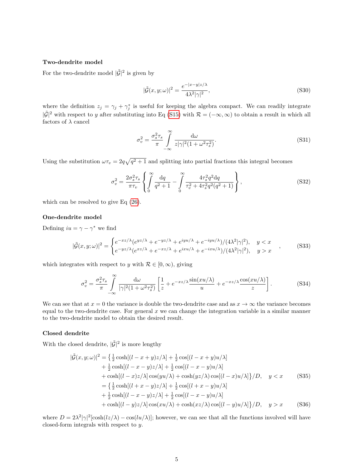#### Two-dendrite model

For the two-dendrite model  $|\tilde{\mathcal{G}}|^2$  is given by

$$
|\tilde{\mathcal{G}}(x,y;\omega)|^2 = \frac{e^{-|x-y|z/\lambda}}{4\lambda^2|\gamma|^2},\tag{S30}
$$

where the definition  $z_j = \gamma_j + \gamma_j^*$  is useful for keeping the algebra compact. We can readily integrate  $|\tilde{\mathcal{G}}|^2$  with respect to y after substituting into Eq [\(S15\)](#page-2-2) with  $\mathcal{R} = (-\infty, \infty)$  to obtain a result in which all factors of  $\lambda$  cancel

$$
\sigma_v^2 = \frac{\sigma_s^2 \tau_s}{\pi} \int_{-\infty}^{\infty} \frac{d\omega}{z |\gamma|^2 (1 + \omega^2 \tau_s^2)}.
$$
\n(S31)

Using the substitution  $\omega \tau_v = 2q \sqrt{q^2 + 1}$  and splitting into partial fractions this integral becomes

$$
\sigma_v^2 = \frac{2\sigma_s^2 \tau_s}{\pi \tau_v} \left\{ \int_0^\infty \frac{\mathrm{d}q}{q^2 + 1} - \int_0^\infty \frac{4\tau_s^2 q^2 \mathrm{d}q}{\tau_v^2 + 4\tau_s^2 q^2 (q^2 + 1)} \right\},\tag{S32}
$$

which can be resolved to give Eq [\(26\)](#page-3-1).

#### One-dendrite model

Defining  $iu = \gamma - \gamma^*$  we find

$$
|\tilde{\mathcal{G}}(x,y;\omega)|^2 = \begin{cases} e^{-xz/\lambda} (e^{yz/\lambda} + e^{-yz/\lambda} + e^{iyu/\lambda} + e^{-iyu/\lambda})/(4\lambda^2|\gamma|^2), & y < x\\ e^{-yz/\lambda} (e^{xz/\lambda} + e^{-xz/\lambda} + e^{ixu/\lambda} + e^{-ixu/\lambda})/(4\lambda^2|\gamma|^2), & y > x \end{cases}
$$
(S33)

which integrates with respect to y with  $\mathcal{R} \in [0, \infty)$ , giving

$$
\sigma_v^2 = \frac{\sigma_s^2 \tau_s}{\pi} \int_{-\infty}^{\infty} \frac{d\omega}{|\gamma|^2 (1 + \omega^2 \tau_s^2)} \left[ \frac{1}{z} + e^{-xz/\lambda} \frac{\sin(xu/\lambda)}{u} + e^{-xz/\lambda} \frac{\cos(xu/\lambda)}{z} \right].
$$
 (S34)

We can see that at  $x = 0$  the variance is double the two-dendrite case and as  $x \to \infty$  the variance becomes equal to the two-dendrite case. For general  $x$  we can change the integration variable in a similar manner to the two-dendrite model to obtain the desired result.

#### Closed dendrite

With the closed dendrite,  $|\tilde{\mathcal{G}}|^2$  is more lengthy

$$
|\tilde{G}(x,y;\omega)|^2 = \left\{ \frac{1}{2}\cosh[(l-x+y)z/\lambda] + \frac{1}{2}\cos[(l-x+y)u/\lambda] + \frac{1}{2}\cosh[(l-x-y)z/\lambda] + \frac{1}{2}\cos[(l-x-y)u/\lambda] + \cosh[(l-x)z/\lambda]\cos(yu/\lambda) + \cosh(yz/\lambda)\cos[(l-x)u/\lambda]\right\}/D, \quad y < x \quad (S35)
$$
  
\n
$$
= \left\{ \frac{1}{2}\cosh[(l+x-y)z/\lambda] + \frac{1}{2}\cos[(l+x-y)u/\lambda] + \frac{1}{2}\cosh[(l-x-y)z/\lambda] + \frac{1}{2}\cos[(l-x-y)u/\lambda] + \cosh[(l-y)z/\lambda]\cos(xu/\lambda) + \cosh(xz/\lambda)\cos[(l-y)u/\lambda]\right\}/D, \quad y > x \quad (S36)
$$

where  $D = 2\lambda^2 |\gamma|^2 [\cosh(lz/\lambda) - \cos(lu/\lambda)]$ ; however, we can see that all the functions involved will have closed-form integrals with respect to y.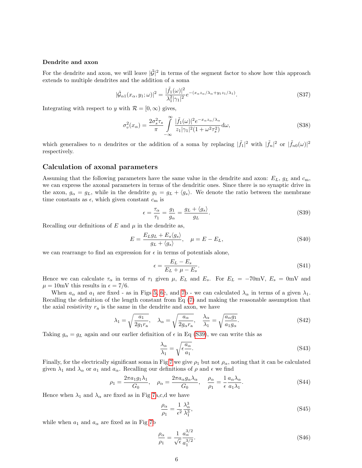#### Dendrite and axon

For the dendrite and axon, we will leave  $|\tilde{\mathcal{G}}|^2$  in terms of the segment factor to show how this approach extends to multiple dendrites and the addition of a soma

$$
|\tilde{\mathcal{G}}_{\alpha 1}(x_{\alpha}, y_1; \omega)|^2 = \frac{|\tilde{f}_1(\omega)|^2}{\lambda_1^2 |\gamma_1|^2} e^{-(x_{\alpha} z_{\alpha}/\lambda_{\alpha} + y_1 z_1/\lambda_1)}.
$$
\n(S37)

Integrating with respect to y with  $\mathcal{R} = [0, \infty)$  gives,

$$
\sigma_v^2(x_\alpha) = \frac{2\sigma_s^2 \tau_s}{\pi} \int\limits_{-\infty}^{\infty} \frac{|\tilde{f}_1(\omega)|^2 e^{-x_\alpha z_\alpha/\lambda_\alpha}}{z_1 |\gamma_1|^2 (1 + \omega^2 \tau_s^2)} d\omega,
$$
\n(S38)

which generalises to n dendrites or the addition of a soma by replacing  $|\tilde{f}_1|^2$  with  $|\tilde{f}_n|^2$  or  $|\tilde{f}_{n0}(\omega)|^2$ respectively.

#### Calculation of axonal parameters

Assuming that the following parameters have the same value in the dendrite and axon:  $E_L$ ,  $g_L$  and  $c_m$ , we can express the axonal parameters in terms of the dendritic ones. Since there is no synaptic drive in the axon,  $g_{\alpha} = g_L$ , while in the dendrite  $g_1 = g_L + \langle g_s \rangle$ . We denote the ratio between the membrane time constants as  $\epsilon$ , which given constant  $c_m$  is

$$
\epsilon = \frac{\tau_{\alpha}}{\tau_1} = \frac{g_1}{g_{\alpha}} = \frac{g_L + \langle g_s \rangle}{g_L}.
$$
\n(S39)

Recalling our definitions of  $E$  and  $\mu$  in the dendrite as,

$$
E = \frac{E_L g_L + E_s \langle g_s \rangle}{g_L + \langle g_s \rangle}, \quad \mu = E - E_L,
$$
\n(S40)

we can rearrange to find an expression for  $\epsilon$  in terms of potentials alone,

<span id="page-5-0"></span>
$$
\epsilon = \frac{E_L - E_s}{E_L + \mu - E_s}.\tag{S41}
$$

Hence we can calculate  $\tau_{\alpha}$  in terms of  $\tau_1$  given  $\mu$ ,  $E_L$  and  $E_s$ . For  $E_L = -70$ mV,  $E_s = 0$ mV and  $\mu = 10$ mV this results in  $\epsilon = 7/6$ .

When  $a_{\alpha}$  and  $a_1$  are fixed - as in Figs [5, 6c](#page-0-3), and [7b](#page-0-3) - we can calculated  $\lambda_{\alpha}$  in terms of a given  $\lambda_1$ . Recalling the definition of the length constant from Eq [\(7\)](#page-1-1) and making the reasonable assumption that the axial resistivity  $r_a$  is the same in the dendrite and axon, we have

$$
\lambda_1 = \sqrt{\frac{a_1}{2g_1 r_a}}, \quad \lambda_\alpha = \sqrt{\frac{a_\alpha}{2g_\alpha r_a}}, \quad \frac{\lambda_\alpha}{\lambda_1} = \sqrt{\frac{a_\alpha g_1}{a_1 g_\alpha}}.
$$
\n(S42)

Taking  $g_{\alpha} = g_L$  again and our earlier definition of  $\epsilon$  in Eq [\(S39\)](#page-5-0), we can write this as

$$
\frac{\lambda_{\alpha}}{\lambda_{1}} = \sqrt{\epsilon \frac{a_{\alpha}}{a_{1}}}.
$$
\n(S43)

Finally, for the electrically significant soma in Fig [7](#page-0-3) we give  $\rho_1$  but not  $\rho_\alpha$ , noting that it can be calculated given  $\lambda_1$  and  $\lambda_\alpha$  or  $a_1$  and  $a_\alpha$ . Recalling our definitions of  $\rho$  and  $\epsilon$  we find

$$
\rho_1 = \frac{2\pi a_1 g_1 \lambda_1}{G_0}, \quad \rho_\alpha = \frac{2\pi a_\alpha g_\alpha \lambda_\alpha}{G_0}, \quad \frac{\rho_\alpha}{\rho_1} = \frac{1}{\epsilon} \frac{a_\alpha \lambda_\alpha}{a_1 \lambda_1}.
$$
 (S44)

Hence when  $\lambda_1$  and  $\lambda_\alpha$  are fixed as in Fig [7a](#page-0-3),c,d we have

$$
\frac{\rho_{\alpha}}{\rho_{1}} = \frac{1}{\epsilon^{2}} \frac{\lambda_{\alpha}^{3}}{\lambda_{1}^{3}},\tag{S45}
$$

while when  $a_1$  and  $a_\alpha$  are fixed as in Fig [7b](#page-0-3)

$$
\frac{\rho_{\alpha}}{\rho_1} = \frac{1}{\sqrt{\epsilon}} \frac{a_{\alpha}^{3/2}}{a_1^{3/2}}.
$$
\n(S46)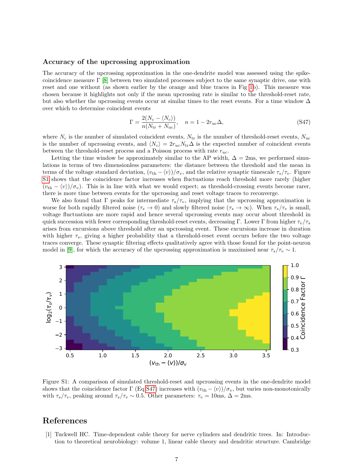#### Accuracy of the upcrossing approximation

The accuracy of the upcrossing approximation in the one-dendrite model was assessed using the spikecoincidence measure  $\Gamma$  [\[8\]](#page-7-6) between two simulated processes subject to the same synaptic drive, one with reset and one without (as shown earlier by the orange and blue traces in Fig [1b](#page-0-3)). This measure was chosen because it highlights not only if the mean upcrossing rate is similar to the threshold-reset rate, but also whether the upcrossing events occur at similar times to the reset events. For a time window  $\Delta$ over which to determine coincident events

<span id="page-6-2"></span>
$$
\Gamma = \frac{2(N_c - \langle N_c \rangle)}{n(N_{\text{tr}} + N_{\text{uc}})}, \quad n = 1 - 2r_{\text{uc}}\Delta,
$$
\n(S47)

where  $N_c$  is the number of simulated coincident events,  $N_{\text{tr}}$  is the number of threshold-reset events,  $N_{\text{uc}}$ is the number of upcrossing events, and  $\langle N_c \rangle = 2r_{uc}N_{tr}\Delta$  is the expected number of coincident events between the threshold-reset process and a Poisson process with rate  $r_{uc}$ .

Letting the time window be approximately similar to the AP width,  $\Delta = 2$ ms, we performed simulations in terms of two dimensionless parameters: the distance between the threshold and the mean in terms of the voltage standard deviation,  $(v_{\text{th}} - \langle v \rangle)/\sigma_v$ , and the relative synaptic timescale  $\tau_s/\tau_v$ . Figure [S1](#page-6-1) shows that the coincidence factor increases when fluctuations reach threshold more rarely (higher  $(v<sub>th</sub> - \langle v \rangle)/\sigma_v$ ). This is in line with what we would expect; as threshold-crossing events become rarer, there is more time between events for the upcrossing and reset voltage traces to reconverge.

We also found that  $\Gamma$  peaks for intermediate  $\tau_s/\tau_v$ , implying that the upcrossing approximation is worse for both rapidly filtered noise  $(\tau_s \to 0)$  and slowly filtered noise  $(\tau_s \to \infty)$ . When  $\tau_s/\tau_v$  is small, voltage fluctuations are more rapid and hence several upcrossing events may occur about threshold in quick succession with fewer corresponding threshold-reset events, decreasing Γ. Lower Γ from higher  $\tau_v/\tau_s$ arises from excursions above threshold after an upcrossing event. These excursions increase in duration with higher  $\tau_s$ , giving a higher probability that a threshold-reset event occurs before the two voltage traces converge. These synaptic filtering effects qualitatively agree with those found for the point-neuron model in [\[9\]](#page-7-7), for which the accuracy of the upcrossing approximation is maximised near  $\tau_s/\tau_v \sim 1$ .



<span id="page-6-1"></span>Figure S1: A comparison of simulated threshold-reset and upcrossing events in the one-dendrite model shows that the coincidence factor  $\Gamma$  (Eq [S47\)](#page-6-2) increases with  $(v_{th} - \langle v \rangle)/\sigma_v$ , but varies non-monotonically with  $\tau_s/\tau_v$ , peaking around  $\tau_s/\tau_v \sim 0.5$ . Other parameters:  $\tau_v = 10$ ms,  $\Delta = 2$ ms.

### References

<span id="page-6-0"></span>[1] Tuckwell HC. Time-dependent cable theory for nerve cylinders and dendritic trees. In: Introduction to theoretical neurobiology: volume 1, linear cable theory and dendritic structure. Cambridge